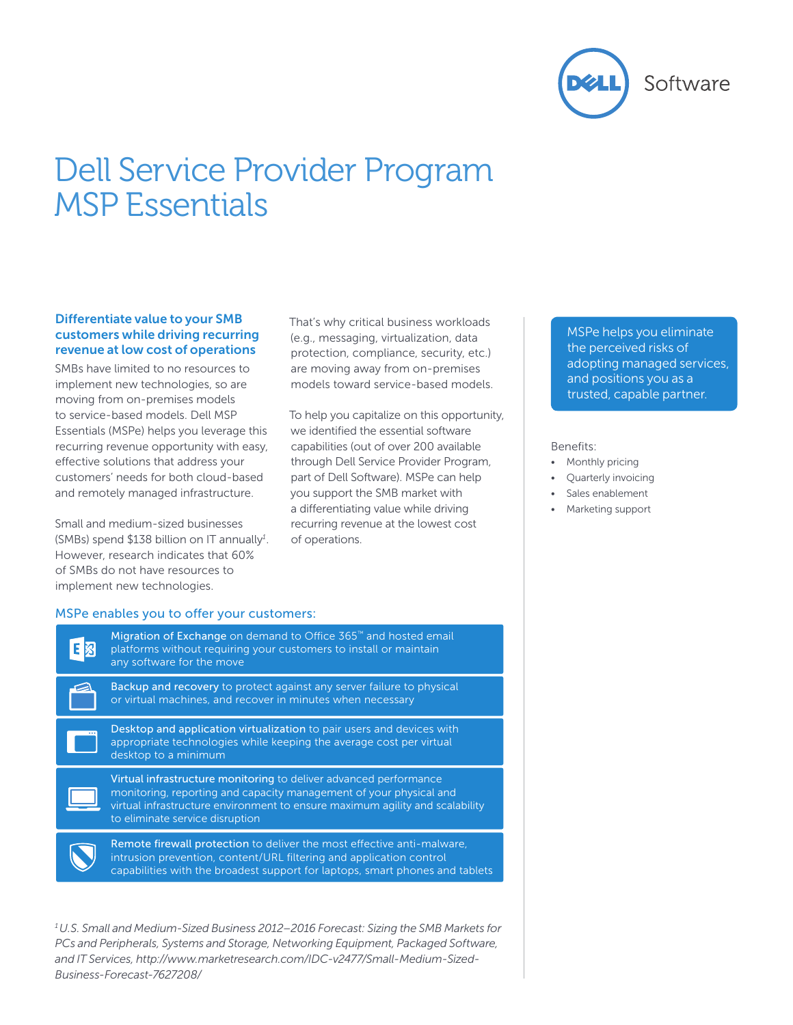

# Dell Service Provider Program MSP Essentials

#### Differentiate value to your SMB customers while driving recurring revenue at low cost of operations

SMBs have limited to no resources to implement new technologies, so are moving from on-premises models to service-based models. Dell MSP Essentials (MSPe) helps you leverage this recurring revenue opportunity with easy, effective solutions that address your customers' needs for both cloud-based and remotely managed infrastructure.

Small and medium-sized businesses (SMBs) spend \$138 billion on IT annually*<sup>1</sup>* . However, research indicates that 60% of SMBs do not have resources to implement new technologies.

That's why critical business workloads (e.g., messaging, virtualization, data protection, compliance, security, etc.) are moving away from on-premises models toward service-based models.

To help you capitalize on this opportunity, we identified the essential software capabilities (out of over 200 available through Dell Service Provider Program, part of Dell Software). MSPe can help you support the SMB market with a differentiating value while driving recurring revenue at the lowest cost of operations.

MSPe helps you eliminate the perceived risks of adopting managed services, and positions you as a trusted, capable partner.

#### Benefits:

- Monthly pricing
- Quarterly invoicing
- Sales enablement
- • Marketing support

#### MSPe enables you to offer your customers:

| Migration of Exchange on demand to Office 365™ and hosted email<br>platforms without requiring your customers to install or maintain<br>any software for the move                                                                                          |
|------------------------------------------------------------------------------------------------------------------------------------------------------------------------------------------------------------------------------------------------------------|
| Backup and recovery to protect against any server failure to physical<br>or virtual machines, and recover in minutes when necessary                                                                                                                        |
| Desktop and application virtualization to pair users and devices with<br>appropriate technologies while keeping the average cost per virtual<br>desktop to a minimum                                                                                       |
| Virtual infrastructure monitoring to deliver advanced performance<br>monitoring, reporting and capacity management of your physical and<br>virtual infrastructure environment to ensure maximum agility and scalability<br>to eliminate service disruption |
| Remote firewall protection to deliver the most effective anti-malware.<br>intrusion prevention, content/URL filtering and application control<br>capabilities with the broadest support for laptops, smart phones and tablets                              |
|                                                                                                                                                                                                                                                            |

*1 U.S. Small and Medium-Sized Business 2012–2016 Forecast: Sizing the SMB Markets for PCs and Peripherals, Systems and Storage, Networking Equipment, Packaged Software, and IT Services, http://www.marketresearch.com/IDC-v2477/Small-Medium-Sized-Business-Forecast-7627208/*